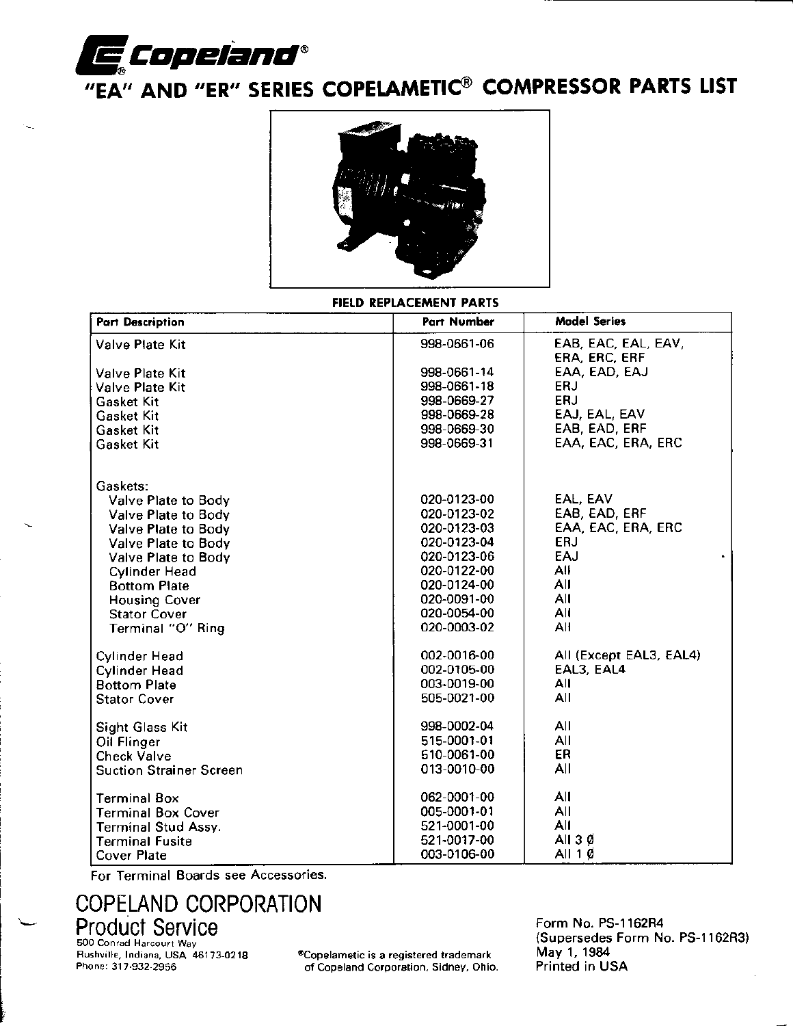

# "EA" AND "ER" SERIES COPELAMETIC® COMPRESSOR PARTS LIST



#### FIELD REPLACEMENT PARTS

| <b>Part Description</b>        | Part Number | <b>Model Series</b>                  |
|--------------------------------|-------------|--------------------------------------|
| <b>Valve Plate Kit</b>         | 998-0661-06 | EAB, EAC, EAL, EAV,<br>ERA, ERC, ERF |
| <b>Valve Plate Kit</b>         | 998-0661-14 | EAA, EAD, EAJ                        |
| Valve Plate Kit                | 998-0661-18 | ERJ                                  |
| Gasket Kit                     | 998-0669-27 | ERJ                                  |
| <b>Gasket Kit</b>              | 998-0669-28 | EAJ, EAL, EAV                        |
| Gasket Kit                     | 998-0669-30 | EAB, EAD, ERF                        |
| Gasket Kit                     | 998-0669-31 | EAA, EAC, ERA, ERC                   |
| Gaskets:                       |             |                                      |
| Valve Plate to Body            | 020-0123-00 | EAL, EAV                             |
| Valve Plate to Body            | 020-0123-02 | EAB, EAD, ERF                        |
| Valve Plate to Body            | 020-0123-03 | EAA, EAC, ERA, ERC                   |
| Valve Plate to Body            | 020-0123-04 | <b>ERJ</b>                           |
| Valve Plate to Body            | 020-0123-06 | EAJ<br>$\bullet$ .                   |
| <b>Cylinder Head</b>           | 020-0122-00 | All                                  |
| <b>Bottom Plate</b>            | 020-0124-00 | All                                  |
| <b>Housing Cover</b>           | 020-0091-00 | All                                  |
| <b>Stator Cover</b>            | 020-0054-00 | All                                  |
| Terminal "O" Ring              | 020-0003-02 | All                                  |
| <b>Cylinder Head</b>           | 002-0016-00 | All (Except EAL3, EAL4)              |
| <b>Cylinder Head</b>           | 002-0105-00 | EAL3, EAL4                           |
| <b>Bottom Plate</b>            | 003-0019-00 | All                                  |
| <b>Stator Cover</b>            | 505-0021-00 | All                                  |
| <b>Sight Glass Kit</b>         | 998-0002-04 | All                                  |
| Oil Flinger                    | 515-0001-01 | All                                  |
| <b>Check Valve</b>             | 510-0061-00 | ER.                                  |
| <b>Suction Strainer Screen</b> | 013-0010-00 | All                                  |
| <b>Terminal Box</b>            | 062-0001-00 | All                                  |
| <b>Terminal Box Cover</b>      | 005-0001-01 | All                                  |
| <b>Terminal Stud Assy.</b>     | 521-0001-00 | All                                  |
| <b>Terminal Fusite</b>         | 521-0017-00 | All $3 \phi$                         |
| <b>Cover Plate</b>             | 003-0106-00 | All 10                               |

For Terminal Boards see Accessories.

## **COPELAND CORPORATION Product Service**

500 Conrad Harcourt Way Rushville, Indiana, USA 46173-0218 Phone: 317-932-2956

\*Copelametic is a registered trademark of Copeland Corporation, Sidney, Ohio. Form No. PS-1162R4 (Supersedes Form No. PS-1162R3) May 1, 1984 Printed in USA